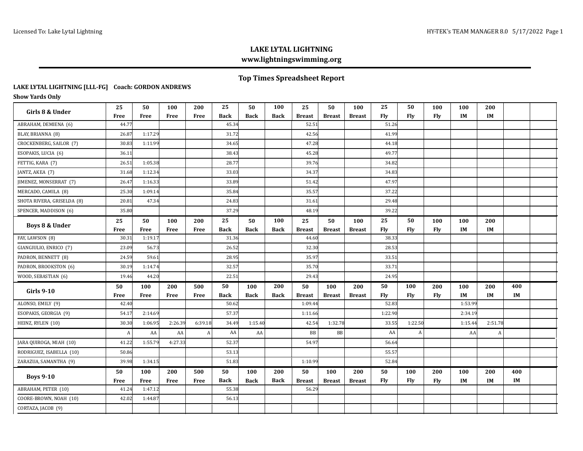## **Top Times Spreadsheet Report**

#### **LAKE LYTAL LIGHTNING [LLL-FG] Coach: GORDON ANDREWS**

**Show Yards Only**

| Girls 8 & Under            | 25           | 50      | 100     | 200              | 25          | 50          | 100         | 25            | 50            | 100           | 25         | 50      | 100 | 100       | 200     |     |  |
|----------------------------|--------------|---------|---------|------------------|-------------|-------------|-------------|---------------|---------------|---------------|------------|---------|-----|-----------|---------|-----|--|
|                            | Free         | Free    | Free    | Free             | <b>Back</b> | <b>Back</b> | <b>Back</b> | <b>Breast</b> | <b>Breast</b> | <b>Breast</b> | Flv        | Fly     | Fly | <b>IM</b> | IM      |     |  |
| ABRAHAM, DEMIENA (6)       | 44.77        |         |         |                  | 45.34       |             |             | 52.51         |               |               | 51.26      |         |     |           |         |     |  |
| BLAY, BRIANNA (8)          | 26.87        | 1:17.29 |         |                  | 31.72       |             |             | 42.56         |               |               | 41.99      |         |     |           |         |     |  |
| CROCKENBERG, SAILOR (7)    | 30.83        | 1:11.99 |         |                  | 34.65       |             |             | 47.28         |               |               | 44.18      |         |     |           |         |     |  |
| ESOPAKIS, LUCIA (6)        | 36.11        |         |         |                  | 38.43       |             |             | 45.28         |               |               | 49.77      |         |     |           |         |     |  |
| FETTIG, KARA (7)           | 26.51        | 1:05.38 |         |                  | 28.77       |             |             | 39.76         |               |               | 34.82      |         |     |           |         |     |  |
| JANTZ, AKEA (7)            | 31.68        | 1:12.34 |         |                  | 33.03       |             |             | 34.37         |               |               | 34.83      |         |     |           |         |     |  |
| JIMENEZ, MONSERRAT (7)     | 26.47        | 1:16.33 |         |                  | 33.89       |             |             | 51.42         |               |               | 47.97      |         |     |           |         |     |  |
| MERCADO, CAMILA (8)        | 25.30        | 1:09.14 |         |                  | 35.84       |             |             | 35.57         |               |               | 37.22      |         |     |           |         |     |  |
| SHOTA RIVERA, GRISELDA (8) | 20.81        | 47.34   |         |                  | 24.83       |             |             | 31.61         |               |               | 29.48      |         |     |           |         |     |  |
| SPENCER, MADDISON (6)      | 35.80        |         |         |                  | 37.29       |             |             | 48.19         |               |               | 39.22      |         |     |           |         |     |  |
|                            | 25           | 50      | 100     | 200              | 25          | 50          | 100         | 25            | 50            | 100           | 25         | 50      | 100 | 100       | 200     |     |  |
| Boys 8 & Under             | Free         | Free    | Free    | Free             | <b>Back</b> | <b>Back</b> | <b>Back</b> | <b>Breast</b> | <b>Breast</b> | <b>Breast</b> | Fly        | Fly     | Fly | IM        | IM      |     |  |
| FAY, LAWSON (8)            | 30.31        | 1:19.17 |         |                  | 31.36       |             |             | 44.60         |               |               | 38.33      |         |     |           |         |     |  |
| GIANGIULIO, ENRICO (7)     | 23.09        | 56.73   |         |                  | 26.52       |             |             | 32.30         |               |               | 28.53      |         |     |           |         |     |  |
| PADRON, BENNETT (8)        | 24.59        | 59.61   |         |                  | 28.95       |             |             | 35.97         |               |               | 33.51      |         |     |           |         |     |  |
| PADRON, BROOKSTON (6)      | 30.19        | 1:14.74 |         |                  | 32.57       |             |             | 35.70         |               |               | 33.71      |         |     |           |         |     |  |
| WOOD, SEBASTIAN (6)        | 19.46        | 44.20   |         |                  | 22.51       |             |             | 29.43         |               |               | 24.95      |         |     |           |         |     |  |
| <b>Girls 9-10</b>          | 50           | 100     | 200     | 500              | 50          | 100         | 200         | 50            | 100           | 200           | 50         | 100     | 200 | 100       | 200     | 400 |  |
|                            | Free         | Free    | Free    | Free             | <b>Back</b> | <b>Back</b> | <b>Back</b> | <b>Breast</b> | <b>Breast</b> | <b>Breast</b> | <b>Fly</b> | Fly     | Fly | IM        | IM      | IM  |  |
| ALONSO, EMILY (9)          | 42.40        |         |         |                  | 50.62       |             |             | 1:09.44       |               |               | 52.83      |         |     | 1:53.99   |         |     |  |
| ESOPAKIS, GEORGIA (9)      | 54.17        | 2:14.69 |         |                  | 57.37       |             |             | 1:11.66       |               |               | 1:22.90    |         |     | 2:34.19   |         |     |  |
| HEINZ, RYLEN (10)          | 30.30        | 1:06.95 | 2:26.39 | 6:39.18          | 34.49       | 1:15.40     |             | 42.54         | 1:32.78       |               | 33.55      | 1:22.50 |     | 1:15.44   | 2:51.78 |     |  |
|                            | $\mathbf{A}$ | AA      | AA      | $\boldsymbol{A}$ | AA          | ${\sf AA}$  |             | BB            | <b>BB</b>     |               | AA         | A       |     | AA        | A       |     |  |
| JARA QUIROGA, MIAH (10)    | 41.22        | 1:55.79 | 4:27.33 |                  | 52.37       |             |             | 54.97         |               |               | 56.64      |         |     |           |         |     |  |
| RODRIGUEZ, ISABELLA (10)   | 50.86        |         |         |                  | 53.13       |             |             |               |               |               | 55.57      |         |     |           |         |     |  |
| ZARAZUA, SAMANTHA (9)      | 39.98        | 1:34.15 |         |                  | 51.83       |             |             | 1:10.99       |               |               | 52.84      |         |     |           |         |     |  |
| <b>Boys 9-10</b>           | 50           | 100     | 200     | 500              | 50          | 100         | 200         | 50            | 100           | 200           | 50         | 100     | 200 | 100       | 200     | 400 |  |
|                            | Free         | Free    | Free    | Free             | <b>Back</b> | <b>Back</b> | <b>Back</b> | <b>Breast</b> | <b>Breast</b> | <b>Breast</b> | Fly        | Fly     | Fly | IM        | IM      | IM  |  |
| ABRAHAM, PETER (10)        | 41.24        | 1:47.12 |         |                  | 55.38       |             |             | 56.29         |               |               |            |         |     |           |         |     |  |
| COORE-BROWN, NOAH (10)     | 42.02        | 1:44.87 |         |                  | 56.13       |             |             |               |               |               |            |         |     |           |         |     |  |
| CORTAZA, JACOB (9)         |              |         |         |                  |             |             |             |               |               |               |            |         |     |           |         |     |  |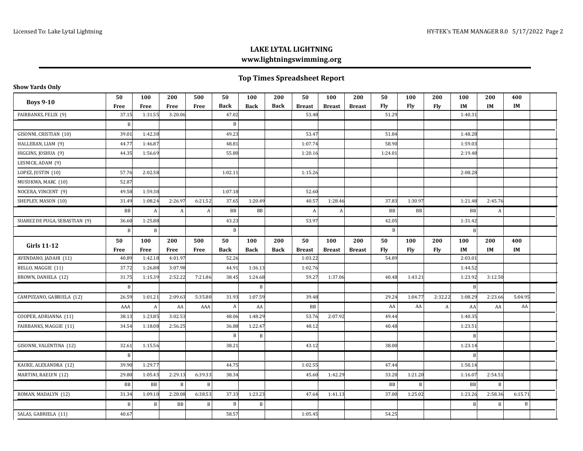# **Top Times Spreadsheet Report**

| <b>Boys 9-10</b>              | 50             | 100         | 200     | 500          | 50           | 100         | 200         | 50            | 100           | 200           | 50         | 100        | 200        | 100       | 200         | 400       |  |
|-------------------------------|----------------|-------------|---------|--------------|--------------|-------------|-------------|---------------|---------------|---------------|------------|------------|------------|-----------|-------------|-----------|--|
|                               | Free           | <b>Free</b> | Free    | Free         | <b>Back</b>  | <b>Back</b> | <b>Back</b> | <b>Breast</b> | <b>Breast</b> | <b>Breast</b> | Flv        | Fly        | <b>Fly</b> | IM        | IM          | IM        |  |
| FAIRBANKS, FELIX (9)          | 37.15          | 1:31.55     | 3:20.06 |              | 47.02        |             |             | 53.48         |               |               | 51.29      |            |            | 1:40.31   |             |           |  |
|                               | $\overline{B}$ |             |         |              | $\mathbf B$  |             |             |               |               |               |            |            |            |           |             |           |  |
| GISONNI, CRISTIAN (10)        | 39.01          | 1:42.38     |         |              | 49.23        |             |             | 53.47         |               |               | 51.84      |            |            | 1:48.28   |             |           |  |
| HALLERAN, LIAM (9)            | 44.77          | 1:46.87     |         |              | 48.81        |             |             | 1:07.74       |               |               | 58.90      |            |            | 1:59.03   |             |           |  |
| HIGGINS, JOSHUA (9)           | 44.35          | 1:56.69     |         |              | 55.80        |             |             | 1:20.16       |               |               | 1:24.01    |            |            | 2:19.48   |             |           |  |
| LESNICK, ADAM (9)             |                |             |         |              |              |             |             |               |               |               |            |            |            |           |             |           |  |
| LOPEZ, JUSTIN (10)            | 57.76          | 2:02.58     |         |              | 1:02.11      |             |             | 1:15.26       |               |               |            |            |            | 2:08.28   |             |           |  |
| MUSUKWA, MARC (10)            | 52.87          |             |         |              |              |             |             |               |               |               |            |            |            |           |             |           |  |
| NOCERA, VINCENT (9)           | 49.58          | 1:59.38     |         |              | 1:07.18      |             |             | 52.60         |               |               |            |            |            |           |             |           |  |
| SHEPLEY, MASON (10)           | 31.49          | 1:08.24     | 2:26.97 | 6:21.52      | 37.65        | 1:20.49     |             | 40.57         | 1:28.46       |               | 37.83      | 1:30.97    |            | 1:21.48   | 2:45.76     |           |  |
|                               | <b>BB</b>      | A           | A       | A            | <b>BB</b>    | BB          |             | A             | A             |               | BB         | BB         |            | <b>BB</b> | A           |           |  |
| SUAREZ DE PUGA, SEBASTIAN (9) | 36.60          | 1:25.88     |         |              | 43.23        |             |             | 53.97         |               |               | 42.05      |            |            | 1:31.42   |             |           |  |
|                               | $\, {\bf B}$   | $\vert$ B   |         |              | B            |             |             |               |               |               | B          |            |            | B         |             |           |  |
|                               | 50             | 100         | 200     | 500          | 50           | 100         | 200         | 50            | 100           | 200           | 50         | 100        | 200        | 100       | 200         | 400       |  |
| <b>Girls 11-12</b>            | Free           | Free        | Free    | Free         | <b>Back</b>  | <b>Back</b> | <b>Back</b> | <b>Breast</b> | <b>Breast</b> | <b>Breast</b> | <b>Fly</b> | <b>Fly</b> | <b>Fly</b> | IM        | IM          | IM        |  |
| AVENDANO, JADAHI (11)         | 40.89          | 1:42.18     | 4:01.97 |              | 52.26        |             |             | 1:03.22       |               |               | 54.89      |            |            | 2:03.01   |             |           |  |
| BELLO, MAGGIE (11)            | 37.72          | 1:26.88     | 3:07.98 |              | 44.91        | 1:36.13     |             | 1:02.76       |               |               |            |            |            | 1:44.52   |             |           |  |
| BROWN, DANIELA (12)           | 31.75          | 1:15.39     | 2:52.22 | 7:21.86      | 38.45        | 1:24.68     |             | 59.27         | 1:37.06       |               | 40.48      | 1:43.21    |            | 1:23.92   | 3:12.50     |           |  |
|                               | $\mathbf B$    |             |         |              |              | B           |             |               |               |               |            |            |            | B         |             |           |  |
| CAMPUZANO, GABRIELA (12)      | 26.59          | 1:01.21     | 2:09.63 | 5:35.80      | 31.93        | 1:07.59     |             | 39.48         |               |               | 29.24      | 1:04.77    | 2:32.22    | 1:08.29   | 2:23.66     | 5:04.95   |  |
|                               | AAA            | A           | AA      | AAA          | A            | AA          |             | BB            |               |               | AA         | AA         | A          | AA        | AA          | AA        |  |
| COOPER, ADRIANNA (11)         | 38.13          | 1:23.85     | 3:02.53 |              | 48.06        | 1:48.29     |             | 53.76         | 2:07.92       |               | 49.44      |            |            | 1:40.35   |             |           |  |
| FAIRBANKS, MAGGIE (11)        | 34.54          | 1:18.08     | 2:56.25 |              | 36.88        | 1:22.47     |             | 48.12         |               |               | 40.48      |            |            | 1:23.51   |             |           |  |
|                               |                |             |         |              | $\mathbf B$  | B           |             |               |               |               |            |            |            | B         |             |           |  |
| GISONNI, VALENTINA (12)       | 32.61          | 1:15.56     |         |              | 38.21        |             |             | 43.12         |               |               | 38.00      |            |            | 1:23.14   |             |           |  |
|                               | B              |             |         |              |              |             |             |               |               |               |            |            |            | B         |             |           |  |
| KAUKE, ALEXANDRA (12)         | 39.90          | 1:29.77     |         |              | 44.75        |             |             | 1:02.55       |               |               | 47.44      |            |            | 1:50.14   |             |           |  |
| MARTINI, RAELYN (12)          | 29.80          | 1:05.43     | 2:29.13 | 6:39.33      | 38.34        |             |             | 45.60         | 1:42.29       |               | 33.20      | 1:21.20    |            | 1:16.07   | 2:54.51     |           |  |
|                               | BB             | BB          | B       | B            |              |             |             |               |               |               | BB         | B          |            | <b>BB</b> | B           |           |  |
| ROMAN, MADALYN (12)           | 31.34          | 1:09.10     | 2:28.08 | 6:38.53      | 37.33        | 1:23.23     |             | 47.64         | 1:41.13       |               | 37.00      | 1:25.02    |            | 1:23.26   | 2:58.36     | 6:15.71   |  |
|                               | B              | B           | BB      | $\, {\bf B}$ | $\, {\bf B}$ | B           |             |               |               |               |            |            |            | B         | $\mathbf B$ | $\vert$ B |  |
| SALAS, GABRIELA (11)          | 40.67          |             |         |              | 58.57        |             |             | 1:05.45       |               |               | 54.25      |            |            |           |             |           |  |

#### **Show Yards Only**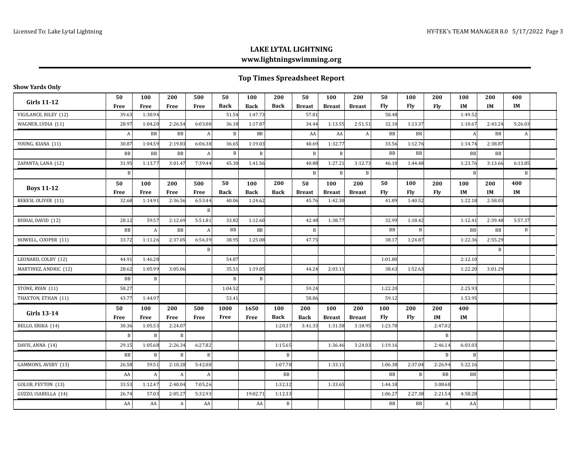| <b>Show Yards Only</b> |              |                  |                           |              |              |             |              |               |               |                  |             |                |                  |           |              |              |  |
|------------------------|--------------|------------------|---------------------------|--------------|--------------|-------------|--------------|---------------|---------------|------------------|-------------|----------------|------------------|-----------|--------------|--------------|--|
| <b>Girls 11-12</b>     | 50           | 100              | 200                       | 500          | 50           | 100         | 200          | 50            | 100           | 200              | 50          | 100            | 200              | 100       | 200          | 400          |  |
|                        | Free         | Free             | Free                      | Free         | <b>Back</b>  | <b>Back</b> | <b>Back</b>  | <b>Breast</b> | <b>Breast</b> | <b>Breast</b>    | Fly         | Fly            | Fly              | <b>IM</b> | IM           | IM           |  |
| VIGILANCE, RILEY (12)  | 39.63        | 1:30.94          |                           |              | 51.54        | 1:47.73     |              | 57.81         |               |                  | 58.48       |                |                  | 1:49.52   |              |              |  |
| WAGNER, LYDIA (11)     | 28.97        | 1:04.20          | 2:26.54                   | 6:03.00      | 36.18        | 1:17.87     |              | 34.44         | 1:13.55       | 2:51.51          | 32.10       | 1:13.37        |                  | 1:10.67   | 2:43.24      | 5:26.03      |  |
|                        | A            | BB               | BB                        | A            | B            | BB          |              | AA            | AA            | $\boldsymbol{A}$ | BB          | BB             |                  | A         | BB           | A            |  |
| YOUNG, KIANA (11)      | 30.87        | 1:04.59          | 2:19.83                   | 6:06.38      | 36.65        | 1:19.03     |              | 40.69         | 1:32.77       |                  | 33.56       | 1:12.76        |                  | 1:14.74   | 2:38.87      |              |  |
|                        | BB           | BB               | BB                        | A            | B            | B           |              | $\, {\bf B}$  | B             |                  | $_{\rm BB}$ | B <sub>B</sub> |                  | BB        | <b>BB</b>    |              |  |
| ZAPANTA, LANA (12)     | 31.95        | 1:13.77          | 3:01.47                   | 7:39.44      | 45.30        | 1:41.56     |              | 40.88         | 1:27.21       | 3:12.73          | 46.10       | 1:44.48        |                  | 1:23.76   | 3:13.66      | 6:13.85      |  |
|                        | $\mathbf{B}$ |                  |                           |              |              |             |              | B             | $\vert$ B     | $\mathbf{B}$     |             |                |                  | B         |              | $\mathbf{B}$ |  |
|                        | 50           | 100              | 200                       | 500          | 50           | 100         | 200          | 50            | 100           | 200              | 50          | 100            | 200              | 100       | 200          | 400          |  |
| <b>Boys 11-12</b>      | Free         | Free             | Free                      | <b>Free</b>  | <b>Back</b>  | <b>Back</b> | <b>Back</b>  | <b>Breast</b> | <b>Breast</b> | <b>Breast</b>    | Fly         | <b>Fly</b>     | Fly              | IM        | <b>IM</b>    | IM           |  |
| BEKESI, OLIVER (11)    | 32.68        | 1:14.91          | 2:36.56                   | 6:53.44      | 40.06        | 1:24.62     |              | 45.76         | 1:42.30       |                  | 41.89       | 1:40.52        |                  | 1:22.18   | 2:58.03      |              |  |
|                        |              |                  |                           | B            |              |             |              |               |               |                  |             |                |                  |           |              |              |  |
| BISHAI, DAVID (12)     | 28.12        | 59.57            | 2:12.69                   | 5:51.81      | 33.82        | 1:12.60     |              | 42.48         | 1:38.77       |                  | 32.99       | 1:18.42        |                  | 1:12.41   | 2:39.48      | 5:57.37      |  |
|                        | <b>BB</b>    | $\boldsymbol{A}$ | $_{\rm BB}$               | $\mathbf{A}$ | BB           | <b>BB</b>   |              | $\, {\bf B}$  |               |                  | BB          | B              |                  | BB        | $_{\rm BB}$  | $\, {\bf B}$ |  |
| HOWELL, COOPER (11)    | 33.72        | 1:11.26          | 2:37.05                   | 6:56.39      | 38.95        | 1:25.08     |              | 47.75         |               |                  | 38.17       | 1:24.87        |                  | 1:22.36   | 2:55.29      |              |  |
|                        |              |                  |                           | B            |              |             |              |               |               |                  |             |                |                  |           | $\mathbf{B}$ |              |  |
| LEONARD, COLBY (12)    | 44.91        | 1:46.28          |                           |              | 54.87        |             |              |               |               |                  | 1:01.80     |                |                  | 2:12.10   |              |              |  |
| MARTINEZ, ANDRIC (12)  | 28.62        | 1:05.99          | 3:05.06                   |              | 35.51        | 1:19.05     |              | 44.24         | 2:03.11       |                  | 38.63       | 1:52.63        |                  | 1:22.20   | 3:01.29      |              |  |
|                        | $_{\rm BB}$  | $\, {\bf B}$     |                           |              | $\, {\bf B}$ | B           |              |               |               |                  |             |                |                  |           |              |              |  |
| STONE, RYAN (11)       | 58.27        |                  |                           |              | 1:04.52      |             |              | 59.24         |               |                  | 1:22.20     |                |                  | 2:25.93   |              |              |  |
| THAXTON, ETHAN (11)    | 43.77        | 1:44.97          |                           |              | 53.41        |             |              | 58.86         |               |                  | 59.12       |                |                  | 1:53.95   |              |              |  |
| <b>Girls 13-14</b>     | 50           | 100              | 200                       | 500          | 1000         | 1650        | 100          | 200           | 100           | 200              | 100         | 200            | 200              | 400       |              |              |  |
|                        | Free         | Free             | Free                      | Free         | Free         | Free        | <b>Back</b>  | <b>Back</b>   | <b>Breast</b> | <b>Breast</b>    | <b>Fly</b>  | Fly            | IM               | IM        |              |              |  |
| BELLO, ERIKA (14)      | 30.36        | 1:05.53          | 2:24.07                   |              |              |             | 1:20.37      | 3:41.33       | 1:31.58       | 3:18.95          | 1:23.78     |                | 2:47.02          |           |              |              |  |
|                        | $\, {\bf B}$ | $\, {\bf B}$     | $\, {\bf B}$              |              |              |             |              |               |               |                  |             |                | $\, {\bf B}$     |           |              |              |  |
| DAVIS, ANNA (14)       | 29.15        | 1:05.68          | 2:26.34                   | 6:27.82      |              |             | 1:15.65      |               | 1:36.46       | 3:24.03          | 1:19.16     |                | 2:46.14          | 6:03.03   |              |              |  |
|                        | BB           | $\mathbf B$      | $\, {\bf B}$              | B            |              |             | B            |               |               |                  |             |                | $\, {\bf B}$     | B         |              |              |  |
| GAMMONS, AVERY (13)    | 26.58        | 59.51            | 2:10.28                   | 5:42.00      |              |             | 1:07.78      |               | 1:33.11       |                  | 1:06.38     | 2:37.04        | 2:26.94          | 5:22.16   |              |              |  |
|                        | AA           | $\boldsymbol{A}$ | A                         | A            |              |             | $_{\rm BB}$  |               |               |                  | ${\rm BB}$  | B              | BB               | BB        |              |              |  |
| GOLUB, PEYTON (13)     | 33.53        | 1:12.47          | 2:40.04                   | 7:05.26      |              |             | 1:32.32      |               | 1:33.65       |                  | 1:44.18     |                | 3:08.68          |           |              |              |  |
| GUZZO, ISABELLA (14)   | 26.74        | 57.03            | 2:05.27                   | 5:32.93      |              | 19:02.71    | 1:12.33      |               |               |                  | 1:06.27     | 2:27.38        | 2:21.54          | 4:58.28   |              |              |  |
|                        | AA           | AA               | $\boldsymbol{\mathsf{A}}$ | AA           |              | AA          | $\, {\bf B}$ |               |               |                  | BB          | BB             | $\boldsymbol{A}$ | AA        |              |              |  |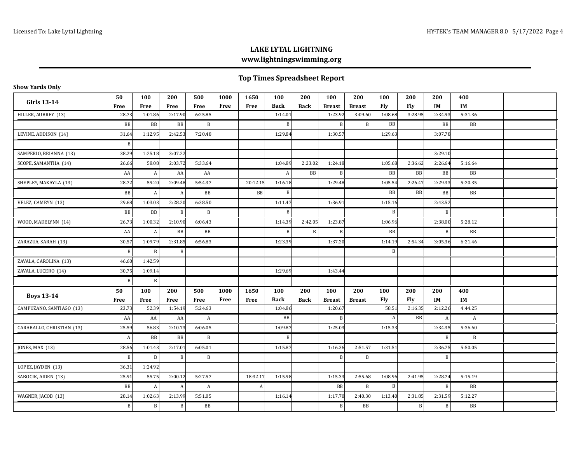|  | Show Yards Only |  |
|--|-----------------|--|
|--|-----------------|--|

| <b>Girls 13-14</b>        | 50           | 100              | 200          | 500            | 1000 | 1650     | 100          | 200          | 100            | 200           | 100              | 200        | 200          | 400       |  |  |
|---------------------------|--------------|------------------|--------------|----------------|------|----------|--------------|--------------|----------------|---------------|------------------|------------|--------------|-----------|--|--|
|                           | Free         | Free             | Free         | Free           | Free | Free     | <b>Back</b>  | <b>Back</b>  | <b>Breast</b>  | <b>Breast</b> | <b>Fly</b>       | <b>Fly</b> | IM           | IM        |  |  |
| HILLER, AUBREY (13)       | 28.73        | 1:01.86          | 2:17.90      | 6:25.85        |      |          | 1:14.01      |              | 1:23.92        | 3:09.60       | 1:08.68          | 3:28.95    | 2:34.93      | 5:31.36   |  |  |
|                           | BB           | BB               | BB           | $\vert$ B      |      |          | $\, {\bf B}$ |              | $\overline{B}$ | B             | BB               |            | BB           | BB        |  |  |
| LEVINE, ADDISON (14)      | 31.64        | 1:12.95          | 2:42.53      | 7:20.48        |      |          | 1:29.84      |              | 1:30.57        |               | 1:29.63          |            | 3:07.78      |           |  |  |
|                           | $\mathbf B$  |                  |              |                |      |          |              |              |                |               |                  |            |              |           |  |  |
| SAMPERIO, BRIANNA (13)    | 38.29        | 1:25.18          | 3:07.22      |                |      |          |              |              |                |               |                  |            | 3:29.10      |           |  |  |
| SCOPE, SAMANTHA (14)      | 26.66        | 58.08            | 2:03.72      | 5:33.64        |      |          | 1:04.89      | 2:23.02      | 1:24.18        |               | 1:05.68          | 2:36.62    | 2:26.64      | 5:16.64   |  |  |
|                           | AA           | $\boldsymbol{A}$ | AA           | AA             |      |          | $\vert$ A    | BB           | $\mathbf B$    |               | $_{\rm BB}$      | BB         | BB           | <b>BB</b> |  |  |
| SHEPLEY, MAKAYLA (13)     | 28.72        | 59.20            | 2:09.48      | 5:54.37        |      | 20:12.15 | 1:16.18      |              | 1:29.48        |               | 1:05.54          | 2:26.47    | 2:29.33      | 5:20.35   |  |  |
|                           | BB           | $\boldsymbol{A}$ | A            | B <sub>B</sub> |      | BB       | $\, {\bf B}$ |              |                |               | <b>BB</b>        | <b>BB</b>  | BB           | <b>BB</b> |  |  |
| VELEZ, CAMRYN (13)        | 29.68        | 1:03.03          | 2:28.20      | 6:38.50        |      |          | 1:11.47      |              | 1:36.91        |               | 1:15.16          |            | 2:43.52      |           |  |  |
|                           | BB           | BB               | $\vert$ B    | B              |      |          | B            |              |                |               | B                |            | B            |           |  |  |
| WOOD, MADELYNN (14)       | 26.73        | 1:00.32          | 2:10.90      | 6:06.43        |      |          | 1:14.39      | 2:42.05      | 1:23.87        |               | 1:06.96          |            | 2:38.00      | 5:28.12   |  |  |
|                           | AA           | $\boldsymbol{A}$ | BB           | B <sub>B</sub> |      |          | $\, {\bf B}$ | $\, {\bf B}$ | $\overline{B}$ |               | $_{\rm BB}$      |            | $\, {\bf B}$ | <b>BB</b> |  |  |
| ZARAZUA, SARAH (13)       | 30.57        | 1:09.79          | 2:31.85      | 6:56.83        |      |          | 1:23.39      |              | 1:37.20        |               | 1:14.19          | 2:54.34    | 3:05.36      | 6:21.46   |  |  |
|                           | $\, {\bf B}$ | $\, {\bf B}$     | B            |                |      |          |              |              |                |               | $\, {\bf B}$     |            |              |           |  |  |
| ZAVALA, CAROLINA (13)     | 46.60        | 1:42.59          |              |                |      |          |              |              |                |               |                  |            |              |           |  |  |
| ZAVALA, LUCERO (14)       | 30.75        | 1:09.14          |              |                |      |          | 1:29.69      |              | 1:43.44        |               |                  |            |              |           |  |  |
|                           | $\mathbf B$  | $\mathbf{B}$     |              |                |      |          |              |              |                |               |                  |            |              |           |  |  |
|                           | 50           | 100              | 200          | 500            | 1000 | 1650     | 100          | 200          | 100            | 200           | 100              | 200        | 200          | 400       |  |  |
| <b>Boys 13-14</b>         | Free         | <b>Free</b>      | Free         | Free           | Free | Free     | <b>Back</b>  | <b>Back</b>  | <b>Breast</b>  | <b>Breast</b> | <b>Fly</b>       | <b>Fly</b> | IM           | IM        |  |  |
| CAMPUZANO, SANTIAGO (13)  | 23.73        | 52.39            | 1:54.19      | 5:24.63        |      |          | 1:04.86      |              | 1:20.67        |               | 58.51            | 2:16.35    | 2:12.26      | 4:44.25   |  |  |
|                           | AA           | AA               | AA           | A              |      |          | BB           |              | B              |               | $\boldsymbol{A}$ | BB         | A            | A         |  |  |
| CARABALLO, CHRISTIAN (13) | 25.59        | 56.83            | 2:10.73      | 6:06.05        |      |          | 1:09.87      |              | 1:25.03        |               | 1:15.33          |            | 2:34.35      | 5:36.60   |  |  |
|                           | A            | BB               | BB           | B              |      |          | B            |              |                |               |                  |            | B            | B         |  |  |
| JONES, MAX (13)           | 28.56        | 1:01.43          | 2:17.01      | 6:05.01        |      |          | 1:15.87      |              | 1:16.36        | 2:51.57       | 1:31.51          |            | 2:36.75      | 5:50.05   |  |  |
|                           | $\, {\bf B}$ | $\, {\bf B}$     | B            | $\mathbf{B}$   |      |          |              |              | $\mathbf B$    | $\, {\bf B}$  |                  |            | $\, {\bf B}$ |           |  |  |
| LOPEZ, JAYDEN (13)        | 36.31        | 1:24.92          |              |                |      |          |              |              |                |               |                  |            |              |           |  |  |
| SABOCIK, AIDEN (13)       | 25.91        | 55.75            | 2:00.12      | 5:27.57        |      | 18:32.17 | 1:15.98      |              | 1:15.33        | 2:55.68       | 1:08.96          | 2:41.95    | 2:28.74      | 5:15.19   |  |  |
|                           | BB           | $\boldsymbol{A}$ | $\mathbf{A}$ | A              |      | A        |              |              | <b>BB</b>      | B             | $\, {\bf B}$     |            | $\, {\bf B}$ | BB        |  |  |
| WAGNER, JACOB (13)        | 28.14        | 1:02.63          | 2:13.99      | 5:51.05        |      |          | 1:16.14      |              | 1:17.70        | 2:40.30       | 1:13.40          | 2:31.85    | 2:31.59      | 5:12.27   |  |  |
|                           | B            | B                | B            | B <sub>B</sub> |      |          |              |              | B              | BB            |                  | B          | B            | BB        |  |  |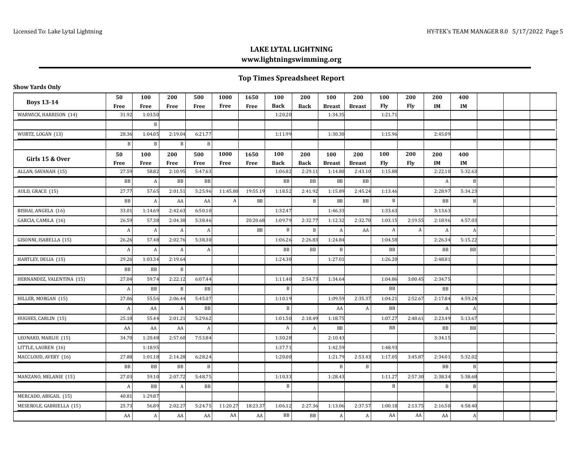| Show Yards Only |  |
|-----------------|--|
|-----------------|--|

|                           | 50               | 100          | 200     | 500          | 1000     | 1650     | 100         | 200         | 100           | 200           | 100       | 200     | 200       | 400       |  |  |
|---------------------------|------------------|--------------|---------|--------------|----------|----------|-------------|-------------|---------------|---------------|-----------|---------|-----------|-----------|--|--|
| <b>Boys 13-14</b>         | <b>Free</b>      | Free         | Free    | Free         | Free     | Free     | <b>Back</b> | <b>Back</b> | <b>Breast</b> | <b>Breast</b> | Fly       | Fly     | IM        | IM        |  |  |
| WARWICK, HARRISON (14)    | 31.92            | 1:03.50      |         |              |          |          | 1:20.20     |             | 1:34.35       |               | 1:21.71   |         |           |           |  |  |
|                           |                  | B            |         |              |          |          |             |             |               |               |           |         |           |           |  |  |
| WURTZ, LOGAN (13)         | 28.36            | 1:04.05      | 2:19.04 | 6:21.77      |          |          | 1:11.99     |             | 1:30.30       |               | 1:15.96   |         | 2:45.09   |           |  |  |
|                           | $\mathbf{B}$     | $\vert$ B    | B       | B            |          |          |             |             |               |               |           |         |           |           |  |  |
|                           | 50               | 100          | 200     | 500          | 1000     | 1650     | 100         | 200         | 100           | 200           | 100       | 200     | 200       | 400       |  |  |
| Girls 15 & Over           | Free             | Free         | Free    | Free         | Free     | Free     | <b>Back</b> | <b>Back</b> | <b>Breast</b> | <b>Breast</b> | Fly       | Fly     | <b>IM</b> | IM        |  |  |
| ALLAN, SAVANAH (15)       | 27.59            | 58.82        | 2:10.95 | 5:47.63      |          |          | 1:06.82     | 2:29.11     | 1:14.80       | 2:43.10       | 1:15.88   |         | 2:22.10   | 5:32.63   |  |  |
|                           | BB               | $\mathbf{A}$ | BB      | BB           |          |          | BB          | BB          | BB            | BB            |           |         | A         | B         |  |  |
| AULD, GRACE (15)          | 27.77            | 57.65        | 2:01.51 | 5:25.96      | 11:45.80 | 19:55.19 | 1:18.52     | 2:41.92     | 1:15.89       | 2:45.24       | 1:13.46   |         | 2:28.97   | 5:34.23   |  |  |
|                           | BB               | A            | AA      | AA           | A        | BB       |             | B           | BB            | BB            | $\vert$ B |         | BB        | B         |  |  |
| BISHAI, ANGELA (16)       | 33.01            | 1:14.69      | 2:42.63 | 6:50.10      |          |          | 1:32.47     |             | 1:46.33       |               | 1:33.63   |         | 3:13.63   |           |  |  |
| GARCIA, CAMILA (16)       | 26.59            | 57.38        | 2:04.38 | 5:38.46      |          | 20:20.68 | 1:09.79     | 2:32.77     | 1:12.32       | 2:32.70       | 1:03.15   | 2:19.55 | 2:18.96   | 4:57.03   |  |  |
|                           | A                | $\mathbf{A}$ | A       | A            |          | BB       | B           | B           | A             | AA            | A         | A       | A         | A         |  |  |
| GISONNI, ISABELLA (15)    | 26.26            | 57.48        | 2:02.76 | 5:38.30      |          |          | 1:06.26     | 2:26.83     | 1:24.84       |               | 1:04.58   |         | 2:26.34   | 5:15.22   |  |  |
|                           | A                | $\mathbf{A}$ | A       | A            |          |          | BB          | BB          | B             |               | BB        |         | BB        | <b>BB</b> |  |  |
| HARTLEY, DELIA (15)       | 29.26            | 1:03.34      | 2:19.64 |              |          |          | 1:24.30     |             | 1:27.01       |               | 1:26.20   |         | 2:48.81   |           |  |  |
|                           | BB               | BB           | B       |              |          |          |             |             |               |               |           |         |           |           |  |  |
| HERNANDEZ, VALENTINA (15) | 27.04            | 59.74        | 2:22.12 | 6:07.44      |          |          | 1:11.40     | 2:54.73     | 1:34.64       |               | 1:04.86   | 3:00.45 | 2:34.75   |           |  |  |
|                           | $\boldsymbol{A}$ | <b>BB</b>    | B       | <b>BB</b>    |          |          | $\mathbf B$ |             |               |               | <b>BB</b> |         | <b>BB</b> |           |  |  |
| HILLER, MORGAN (15)       | 27.06            | 55.56        | 2:06.44 | 5:45.07      |          |          | 1:10.19     |             | 1:09.59       | 2:35.37       | 1:04.21   | 2:52.67 | 2:17.84   | 4:59.24   |  |  |
|                           | $\boldsymbol{A}$ | AA           | A       | <b>BB</b>    |          |          | B           |             | AA            | A             | <b>BB</b> |         | A         | A         |  |  |
| HUGHES, CARLIN (15)       | 25.18            | 55.44        | 2:01.21 | 5:29.62      |          |          | 1:01.50     | 2:18.49     | 1:18.75       |               | 1:07.27   | 2:48.61 | 2:23.49   | 5:13.67   |  |  |
|                           | AA               | AA           | AA      | A            |          |          | A           | A           | BB            |               | BB        |         | <b>BB</b> | <b>BB</b> |  |  |
| LEONARD, MARLIE (15)      | 34.70            | 1:20.48      | 2:57.60 | 7:53.84      |          |          | 1:30.28     |             | 2:10.43       |               |           |         | 3:34.15   |           |  |  |
| LITTLE, LAUREN (16)       |                  | 1:18.95      |         |              |          |          | 1:37.71     |             | 1:42.59       |               | 1:48.93   |         |           |           |  |  |
| MACCLOUD, AVERY (16)      | 27.88            | 1:01.18      | 2:14.28 | 6:28.24      |          |          | 1:20.00     |             | 1:21.79       | 2:53.43       | 1:17.05   | 3:45.87 | 2:34.01   | 5:32.02   |  |  |
|                           | BB               | BB           | BB      | $\, {\bf B}$ |          |          |             |             | B             | $\, {\bf B}$  |           |         | BB        | B         |  |  |
| MANZANO, MELANIE (15)     | 27.03            | 59.10        | 2:07.72 | 5:48.75      |          |          | 1:10.33     |             | 1:28.43       |               | 1:11.27   | 2:57.30 | 2:38.34   | 5:38.68   |  |  |
|                           | A                | BB           | A       | BB           |          |          | B           |             |               |               | B         |         | B         | B         |  |  |
| MERCADO, ABIGAIL (15)     | 40.81            | 1:29.87      |         |              |          |          |             |             |               |               |           |         |           |           |  |  |
| MESEROLE, GABRIELLA (15)  | 25.73            | 56.89        | 2:02.27 | 5:24.75      | 11:20.27 | 18:23.37 | 1:06.12     | 2:27.36     | 1:13.06       | 2:37.57       | 1:00.18   | 2:13.75 | 2:16.50   | 4:58.40   |  |  |
|                           | AA               | $\mathbf{A}$ | AA      | AA           | AA       | AA       | BB          | BB          | A             | A             | AA        | AA      | AA        | A         |  |  |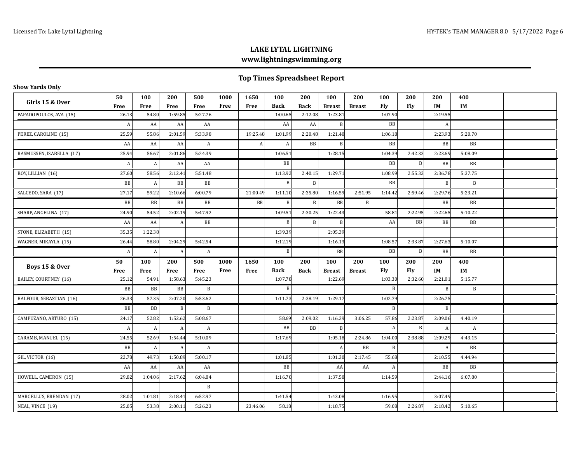| <b>Show Yards Only</b>                      |            |             |              |             |              |              |                    |                    |                      |                      |              |              |                  |           |  |  |
|---------------------------------------------|------------|-------------|--------------|-------------|--------------|--------------|--------------------|--------------------|----------------------|----------------------|--------------|--------------|------------------|-----------|--|--|
| Girls 15 & Over                             | 50<br>Free | 100<br>Free | 200<br>Free  | 500<br>Free | 1000<br>Free | 1650<br>Free | 100<br><b>Back</b> | 200<br><b>Back</b> | 100<br><b>Breast</b> | 200<br><b>Breast</b> | 100<br>Fly   | 200<br>Fly   | 200<br>IM        | 400<br>IM |  |  |
| PAPADOPOULOS, AVA (15)                      | 26.13      | 54.80       | 1:59.85      | 5:27.76     |              |              | 1:00.65            | 2:12.08            | 1:23.81              |                      | 1:07.90      |              | 2:19.55          |           |  |  |
|                                             | A          | AA          | AA           | AA          |              |              | AA                 | AA                 | $\vert$ B            |                      | BB           |              | A                |           |  |  |
| PEREZ, CAROLINE (15)                        | 25.59      | 55.86       | 2:01.59      | 5:33.98     |              | 19:25.48     | 1:01.99            | 2:20.48            | 1:21.40              |                      | 1:06.18      |              | 2:23.93          | 5:20.70   |  |  |
|                                             | AA         | AA          | AA           | A           |              | A            | A                  | BB                 | $\, {\bf B}$         |                      | BB           |              | BB               | BB        |  |  |
| RASMUSSEN, ISABELLA (17)                    | 25.94      | 56.67       | 2:01.86      | 5:24.39     |              |              | 1:06.51            |                    | 1:28.15              |                      | 1:04.39      | 2:42.33      | 2:23.69          | 5:08.09   |  |  |
|                                             | A          | A           | AA           | AA          |              |              | BB                 |                    |                      |                      | BB           | $\mathbf{B}$ | BB               | BB        |  |  |
| ROY, LILLIAN (16)                           | 27.60      | 58.56       | 2:12.41      | 5:51.48     |              |              | 1:13.92            | 2:40.15            | 1:29.71              |                      | 1:08.99      | 2:55.32      | 2:36.78          | 5:37.75   |  |  |
|                                             | BB         | A           | BB           | BB          |              |              | $\mathbf B$        | $\, {\bf B}$       |                      |                      | BB           |              | $\, {\bf B}$     | B         |  |  |
| SALCEDO, SARA (17)                          | 27.17      | 59.22       | 2:10.66      | 6:00.79     |              | 21:00.49     | 1:11.10            | 2:35.80            | 1:16.59              | 2:51.95              | 1:14.42      | 2:59.46      | 2:29.76          | 5:23.21   |  |  |
|                                             | <b>BB</b>  | BB          | $_{\rm BB}$  | <b>BB</b>   |              | <b>BB</b>    | $\mathbf B$        | $\, {\bf B}$       | <b>BB</b>            | $\mathbf{B}$         |              |              | BB               | BB        |  |  |
| SHARP, ANGELINA (17)                        | 24.90      | 54.52       | 2:02.19      | 5:47.92     |              |              | 1:09.51            | 2:30.25            | 1:22.43              |                      | 58.81        | 2:22.95      | 2:22.65          | 5:10.22   |  |  |
|                                             | AA         | AA          | A            | BB          |              |              | B                  | $\mathbf{B}$       | $\, {\bf B}$         |                      | AA           | BB           | BB               | <b>BB</b> |  |  |
| STONE, ELIZABETH (15)                       | 35.35      | 1:22.38     |              |             |              |              | 1:39.39            |                    | 2:05.39              |                      |              |              |                  |           |  |  |
| WAGNER, MIKAYLA (15)                        | 26.44      | 58.80       | 2:04.29      | 5:42.54     |              |              | 1:12.19            |                    | 1:16.13              |                      | 1:08.57      | 2:33.87      | 2:27.63          | 5:10.07   |  |  |
|                                             |            |             |              |             |              |              |                    |                    |                      |                      |              |              |                  |           |  |  |
|                                             | A          | A           | A            | A           |              |              | B                  |                    | BB                   |                      | <b>BB</b>    | $\vert$ B    | BB               | BB        |  |  |
|                                             | 50         | 100         | 200          | 500         | 1000         | 1650         | 100                | 200                | 100                  | 200                  | 100          | 200          | 200              | 400       |  |  |
| Boys 15 & Over                              | Free       | Free        | Free         | Free        | Free         | Free         | <b>Back</b>        | <b>Back</b>        | <b>Breast</b>        | <b>Breast</b>        | Fly          | <b>Fly</b>   | IM               | IM        |  |  |
| BAILEY, COURTNEY (16)                       | 25.12      | 54.91       | 1:58.63      | 5:45.23     |              |              | 1:07.78            |                    | 1:22.69              |                      | 1:03.30      | 2:32.60      | 2:21.01          | 5:15.77   |  |  |
|                                             | BB         | BB          | BB           | B           |              |              | $\mathbf{B}$       |                    |                      |                      | B            |              | $\, {\bf B}$     | B         |  |  |
| BALFOUR, SEBASTIAN (16)                     | 26.33      | 57.35       | 2:07.20      | 5:53.62     |              |              | 1:11.73            | 2:38.19            | 1:29.17              |                      | 1:02.79      |              | 2:26.75          |           |  |  |
|                                             | <b>BB</b>  | BB          | $\mathbf{B}$ | B           |              |              |                    |                    |                      |                      | B            |              | $\, {\bf B}$     |           |  |  |
| CAMPUZANO, ARTURO (15)                      | 24.17      | 52.82       | 1:52.62      | 5:08.67     |              |              | 58.69              | 2:09.02            | 1:16.29              | 3:06.25              | 57.86        | 2:23.87      | 2:09.06          | 4:40.19   |  |  |
|                                             | A          | A           | $\mathbf{A}$ | A           |              |              | BB                 | <b>BB</b>          | $\, {\bf B}$         |                      | A            | $\mathbf{B}$ | $\boldsymbol{A}$ | A         |  |  |
| CARAMB, MANUEL (15)                         | 24.55      | 52.69       | 1:54.44      | 5:10.09     |              |              | 1:17.69            |                    | 1:05.18              | 2:24.86              | 1:04.00      | 2:38.88      | 2:09.29          | 4:43.15   |  |  |
|                                             | BB         | A           | A            | A           |              |              |                    |                    | A                    | BB                   | B            |              | A                | <b>BB</b> |  |  |
| GIL, VICTOR (16)                            | 22.78      | 49.73       | 1:50.89      | 5:00.17     |              |              | 1:01.85            |                    | 1:01.30              | 2:17.45              | 55.68        |              | 2:10.55          | 4:44.94   |  |  |
|                                             | AA         | AA          | AA           | AA          |              |              | BB                 |                    | AA                   | AA                   | $\mathbf{A}$ |              | BB               | <b>BB</b> |  |  |
| HOWELL, CAMERON (15)                        | 29.82      | 1:04.06     | 2:17.62      | 6:04.84     |              |              | 1:16.70            |                    | 1:37.58              |                      | 1:14.59      |              | 2:44.16          | 6:07.80   |  |  |
|                                             |            |             |              | B           |              |              |                    |                    |                      |                      |              |              |                  |           |  |  |
| MARCELLUS, BRENDAN (17)<br>NEAL, VINCE (19) | 28.02      | 1:01.81     | 2:18.41      | 6:52.97     |              |              | 1:41.54            |                    | 1:43.08              |                      | 1:16.95      |              | 3:07.49          |           |  |  |